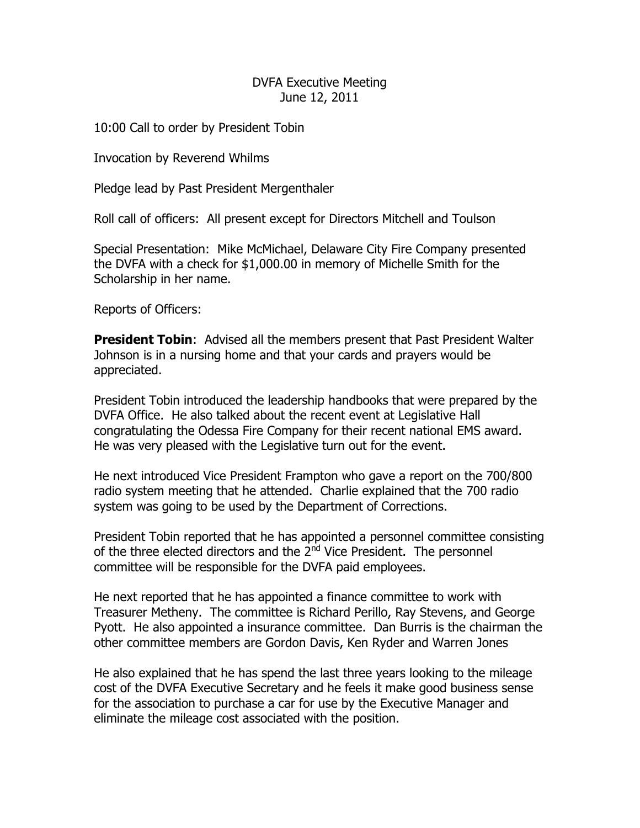#### DVFA Executive Meeting June 12, 2011

10:00 Call to order by President Tobin

Invocation by Reverend Whilms

Pledge lead by Past President Mergenthaler

Roll call of officers: All present except for Directors Mitchell and Toulson

Special Presentation: Mike McMichael, Delaware City Fire Company presented the DVFA with a check for \$1,000.00 in memory of Michelle Smith for the Scholarship in her name.

Reports of Officers:

**President Tobin:** Advised all the members present that Past President Walter Johnson is in a nursing home and that your cards and prayers would be appreciated.

President Tobin introduced the leadership handbooks that were prepared by the DVFA Office. He also talked about the recent event at Legislative Hall congratulating the Odessa Fire Company for their recent national EMS award. He was very pleased with the Legislative turn out for the event.

He next introduced Vice President Frampton who gave a report on the 700/800 radio system meeting that he attended. Charlie explained that the 700 radio system was going to be used by the Department of Corrections.

President Tobin reported that he has appointed a personnel committee consisting of the three elected directors and the 2<sup>nd</sup> Vice President. The personnel committee will be responsible for the DVFA paid employees.

He next reported that he has appointed a finance committee to work with Treasurer Metheny. The committee is Richard Perillo, Ray Stevens, and George Pyott. He also appointed a insurance committee. Dan Burris is the chairman the other committee members are Gordon Davis, Ken Ryder and Warren Jones

He also explained that he has spend the last three years looking to the mileage cost of the DVFA Executive Secretary and he feels it make good business sense for the association to purchase a car for use by the Executive Manager and eliminate the mileage cost associated with the position.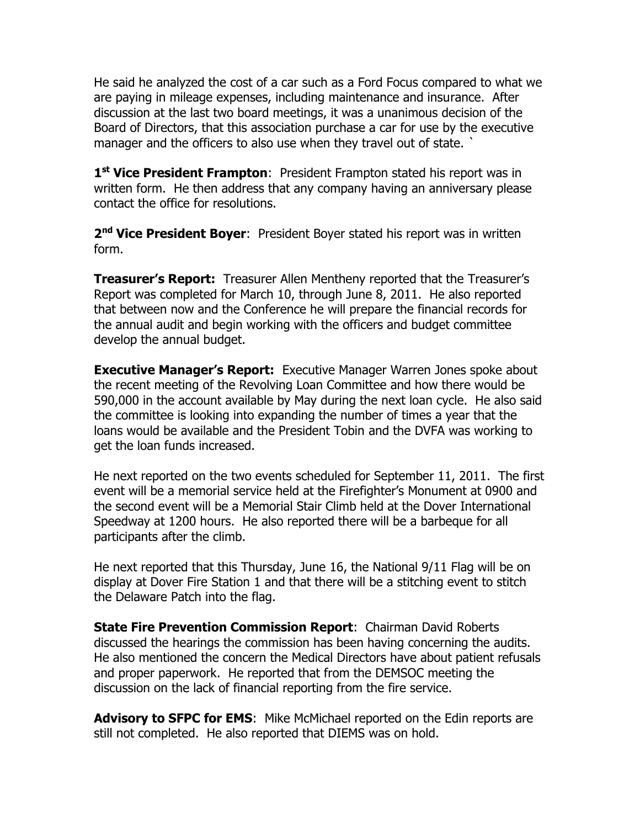He said he analyzed the cost of a car such as a Ford Focus compared to what we are paying in mileage expenses, including maintenance and insurance. After discussion at the last two board meetings, it was a unanimous decision of the Board of Directors, that this association purchase a car for use by the executive manager and the officers to also use when they travel out of state.

**1 st Vice President Frampton**: President Frampton stated his report was in written form. He then address that any company having an anniversary please contact the office for resolutions.

**2 nd Vice President Boyer**: President Boyer stated his report was in written form.

**Treasurer's Report:** Treasurer Allen Mentheny reported that the Treasurer's Report was completed for March 10, through June 8, 2011. He also reported that between now and the Conference he will prepare the financial records for the annual audit and begin working with the officers and budget committee develop the annual budget.

**Executive Manager's Report:** Executive Manager Warren Jones spoke about the recent meeting of the Revolving Loan Committee and how there would be 590,000 in the account available by May during the next loan cycle. He also said the committee is looking into expanding the number of times a year that the loans would be available and the President Tobin and the DVFA was working to get the loan funds increased.

He next reported on the two events scheduled for September 11, 2011. The first event will be a memorial service held at the Firefighter's Monument at 0900 and the second event will be a Memorial Stair Climb held at the Dover International Speedway at 1200 hours. He also reported there will be a barbeque for all participants after the climb.

He next reported that this Thursday, June 16, the National 9/11 Flag will be on display at Dover Fire Station 1 and that there will be a stitching event to stitch the Delaware Patch into the flag.

**State Fire Prevention Commission Report**: Chairman David Roberts discussed the hearings the commission has been having concerning the audits. He also mentioned the concern the Medical Directors have about patient refusals and proper paperwork. He reported that from the DEMSOC meeting the discussion on the lack of financial reporting from the fire service.

Advisory to SFPC for EMS: Mike McMichael reported on the Edin reports are still not completed. He also reported that DIEMS was on hold.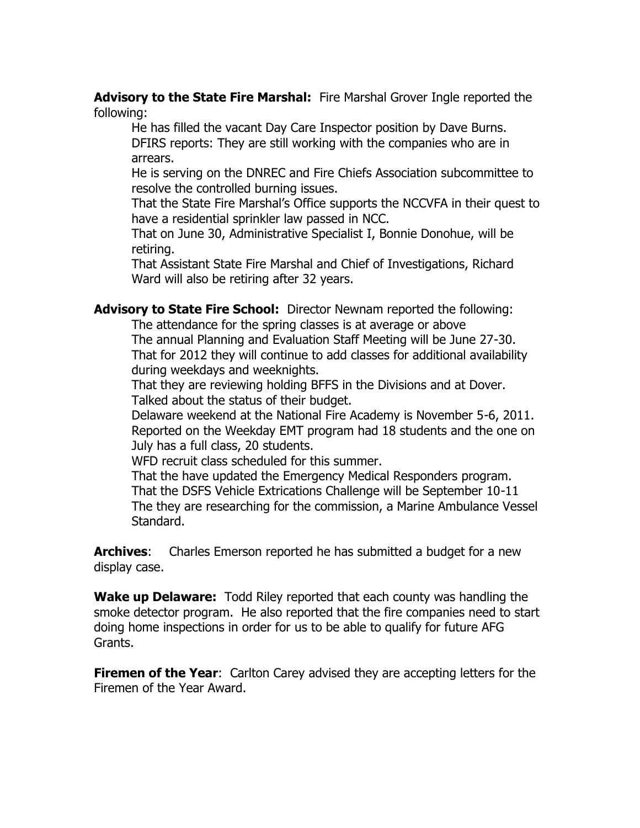**Advisory to the State Fire Marshal:** Fire Marshal Grover Ingle reported the following:

He has filled the vacant Day Care Inspector position by Dave Burns. DFIRS reports: They are still working with the companies who are in arrears.

He is serving on the DNREC and Fire Chiefs Association subcommittee to resolve the controlled burning issues.

That the State Fire Marshal's Office supports the NCCVFA in their quest to have a residential sprinkler law passed in NCC.

That on June 30, Administrative Specialist I, Bonnie Donohue, will be retiring.

That Assistant State Fire Marshal and Chief of Investigations, Richard Ward will also be retiring after 32 years.

**Advisory to State Fire School:** Director Newnam reported the following:

The attendance for the spring classes is at average or above

The annual Planning and Evaluation Staff Meeting will be June 27-30. That for 2012 they will continue to add classes for additional availability during weekdays and weeknights.

That they are reviewing holding BFFS in the Divisions and at Dover. Talked about the status of their budget.

Delaware weekend at the National Fire Academy is November 5-6, 2011. Reported on the Weekday EMT program had 18 students and the one on July has a full class, 20 students.

WFD recruit class scheduled for this summer.

That the have updated the Emergency Medical Responders program. That the DSFS Vehicle Extrications Challenge will be September 10-11 The they are researching for the commission, a Marine Ambulance Vessel Standard.

**Archives**: Charles Emerson reported he has submitted a budget for a new display case.

**Wake up Delaware:** Todd Riley reported that each county was handling the smoke detector program. He also reported that the fire companies need to start doing home inspections in order for us to be able to qualify for future AFG Grants.

**Firemen of the Year:** Carlton Carey advised they are accepting letters for the Firemen of the Year Award.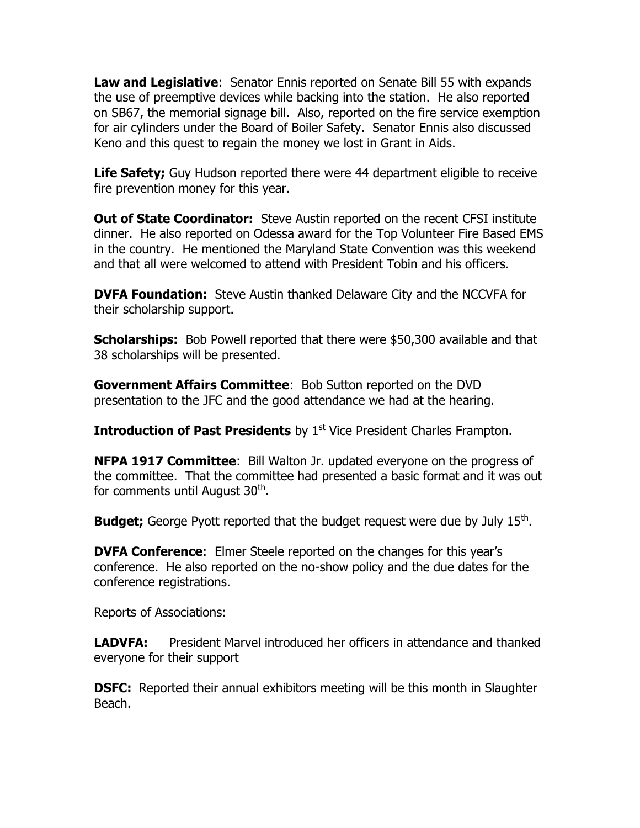**Law and Legislative**: Senator Ennis reported on Senate Bill 55 with expands the use of preemptive devices while backing into the station. He also reported on SB67, the memorial signage bill. Also, reported on the fire service exemption for air cylinders under the Board of Boiler Safety. Senator Ennis also discussed Keno and this quest to regain the money we lost in Grant in Aids.

**Life Safety;** Guy Hudson reported there were 44 department eligible to receive fire prevention money for this year.

**Out of State Coordinator:** Steve Austin reported on the recent CFSI institute dinner. He also reported on Odessa award for the Top Volunteer Fire Based EMS in the country. He mentioned the Maryland State Convention was this weekend and that all were welcomed to attend with President Tobin and his officers.

**DVFA Foundation:** Steve Austin thanked Delaware City and the NCCVFA for their scholarship support.

**Scholarships:** Bob Powell reported that there were \$50,300 available and that 38 scholarships will be presented.

**Government Affairs Committee**: Bob Sutton reported on the DVD presentation to the JFC and the good attendance we had at the hearing.

**Introduction of Past Presidents** by 1<sup>st</sup> Vice President Charles Frampton.

**NFPA 1917 Committee**: Bill Walton Jr. updated everyone on the progress of the committee. That the committee had presented a basic format and it was out for comments until August 30<sup>th</sup>.

**Budget;** George Pyott reported that the budget request were due by July 15<sup>th</sup>.

**DVFA Conference**: Elmer Steele reported on the changes for this year's conference. He also reported on the no-show policy and the due dates for the conference registrations.

Reports of Associations:

**LADVFA:** President Marvel introduced her officers in attendance and thanked everyone for their support

**DSFC:** Reported their annual exhibitors meeting will be this month in Slaughter Beach.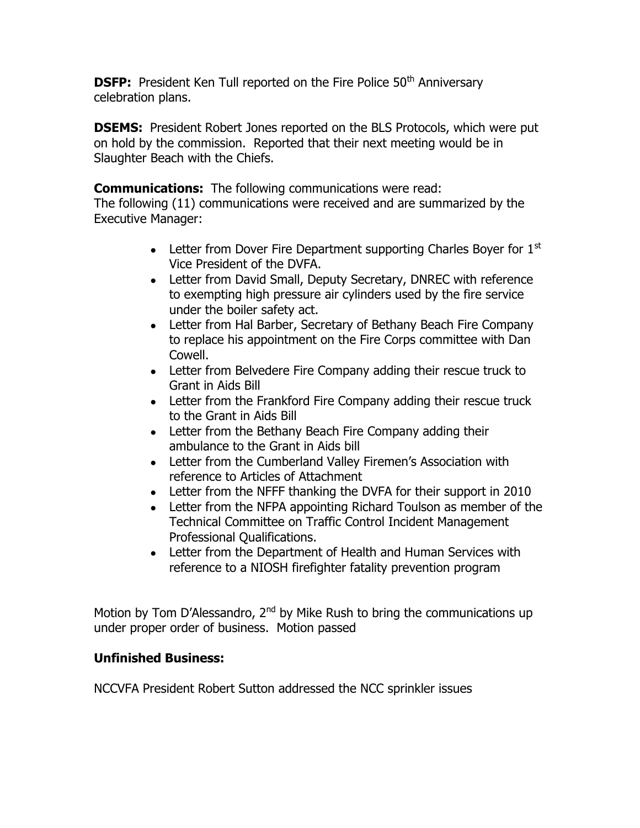**DSFP:** President Ken Tull reported on the Fire Police 50<sup>th</sup> Anniversary celebration plans.

**DSEMS:** President Robert Jones reported on the BLS Protocols, which were put on hold by the commission. Reported that their next meeting would be in Slaughter Beach with the Chiefs.

**Communications:** The following communications were read:

The following (11) communications were received and are summarized by the Executive Manager:

- Letter from Dover Fire Department supporting Charles Boyer for  $1<sup>st</sup>$ Vice President of the DVFA.
- Letter from David Small, Deputy Secretary, DNREC with reference to exempting high pressure air cylinders used by the fire service under the boiler safety act.
- Letter from Hal Barber, Secretary of Bethany Beach Fire Company to replace his appointment on the Fire Corps committee with Dan Cowell.
- Letter from Belvedere Fire Company adding their rescue truck to Grant in Aids Bill
- Letter from the Frankford Fire Company adding their rescue truck to the Grant in Aids Bill
- Letter from the Bethany Beach Fire Company adding their ambulance to the Grant in Aids bill
- Letter from the Cumberland Valley Firemen's Association with reference to Articles of Attachment
- Letter from the NFFF thanking the DVFA for their support in 2010
- Letter from the NFPA appointing Richard Toulson as member of the Technical Committee on Traffic Control Incident Management Professional Qualifications.
- Letter from the Department of Health and Human Services with reference to a NIOSH firefighter fatality prevention program

Motion by Tom D'Alessandro, 2<sup>nd</sup> by Mike Rush to bring the communications up under proper order of business. Motion passed

# **Unfinished Business:**

NCCVFA President Robert Sutton addressed the NCC sprinkler issues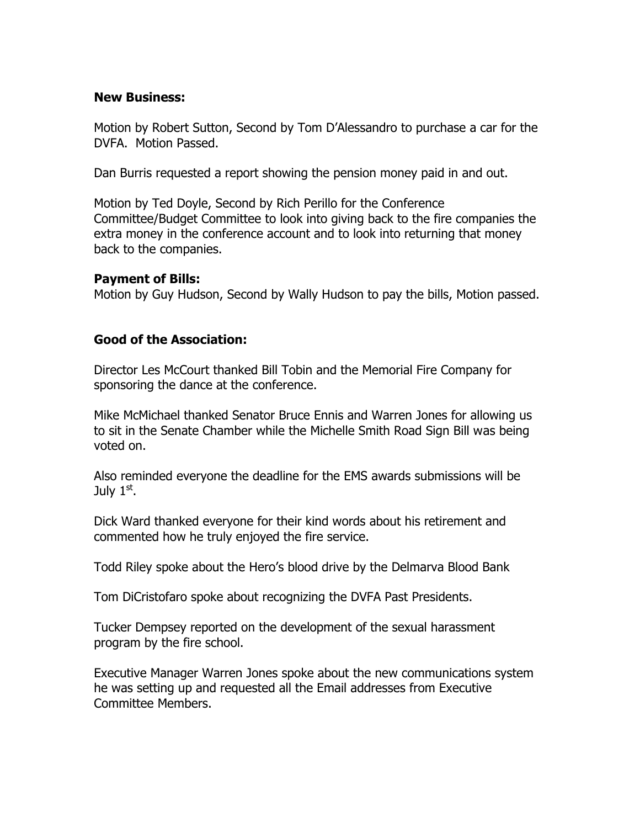#### **New Business:**

Motion by Robert Sutton, Second by Tom D'Alessandro to purchase a car for the DVFA. Motion Passed.

Dan Burris requested a report showing the pension money paid in and out.

Motion by Ted Doyle, Second by Rich Perillo for the Conference Committee/Budget Committee to look into giving back to the fire companies the extra money in the conference account and to look into returning that money back to the companies.

#### **Payment of Bills:**

Motion by Guy Hudson, Second by Wally Hudson to pay the bills, Motion passed.

## **Good of the Association:**

Director Les McCourt thanked Bill Tobin and the Memorial Fire Company for sponsoring the dance at the conference.

Mike McMichael thanked Senator Bruce Ennis and Warren Jones for allowing us to sit in the Senate Chamber while the Michelle Smith Road Sign Bill was being voted on.

Also reminded everyone the deadline for the EMS awards submissions will be July  $1<sup>st</sup>$ .

Dick Ward thanked everyone for their kind words about his retirement and commented how he truly enjoyed the fire service.

Todd Riley spoke about the Hero's blood drive by the Delmarva Blood Bank

Tom DiCristofaro spoke about recognizing the DVFA Past Presidents.

Tucker Dempsey reported on the development of the sexual harassment program by the fire school.

Executive Manager Warren Jones spoke about the new communications system he was setting up and requested all the Email addresses from Executive Committee Members.